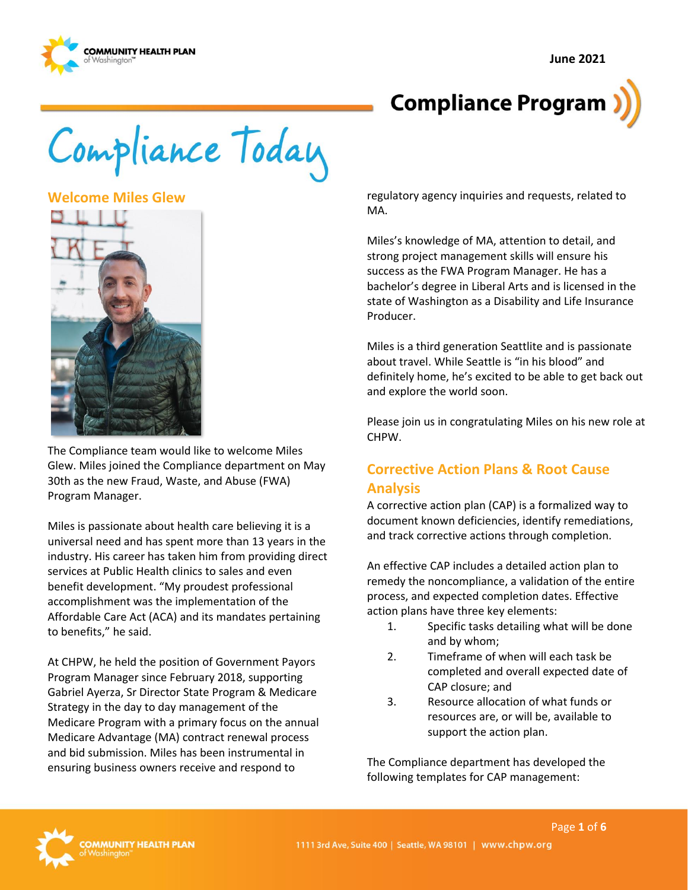**June 2021** 







**Welcome Miles Glew** 



The Compliance team would like to welcome Miles Glew. Miles joined the Compliance department on May 30th as the new Fraud, Waste, and Abuse (FWA) Program Manager.

Miles is passionate about health care believing it is a universal need and has spent more than 13 years in the industry. His career has taken him from providing direct services at Public Health clinics to sales and even benefit development. "My proudest professional accomplishment was the implementation of the Affordable Care Act (ACA) and its mandates pertaining to benefits," he said.

At CHPW, he held the position of Government Payors Program Manager since February 2018, supporting Gabriel Ayerza, Sr Director State Program & Medicare Strategy in the day to day management of the Medicare Program with a primary focus on the annual Medicare Advantage (MA) contract renewal process and bid submission. Miles has been instrumental in ensuring business owners receive and respond to

regulatory agency inquiries and requests, related to MA.

Miles's knowledge of MA, attention to detail, and strong project management skills will ensure his success as the FWA Program Manager. He has a bachelor's degree in Liberal Arts and is licensed in the state of Washington as a Disability and Life Insurance Producer.

Miles is a third generation Seattlite and is passionate about travel. While Seattle is "in his blood" and definitely home, he's excited to be able to get back out and explore the world soon.

Please join us in congratulating Miles on his new role at CHPW.

# **Corrective Action Plans & Root Cause Analysis**

A corrective action plan (CAP) is a formalized way to document known deficiencies, identify remediations, and track corrective actions through completion.

An effective CAP includes a detailed action plan to remedy the noncompliance, a validation of the entire process, and expected completion dates. Effective action plans have three key elements:

- 1. Specific tasks detailing what will be done and by whom;
- 2. Timeframe of when will each task be completed and overall expected date of CAP closure; and
- 3. Resource allocation of what funds or resources are, or will be, available to support the action plan.

The Compliance department has developed the following templates for CAP management:

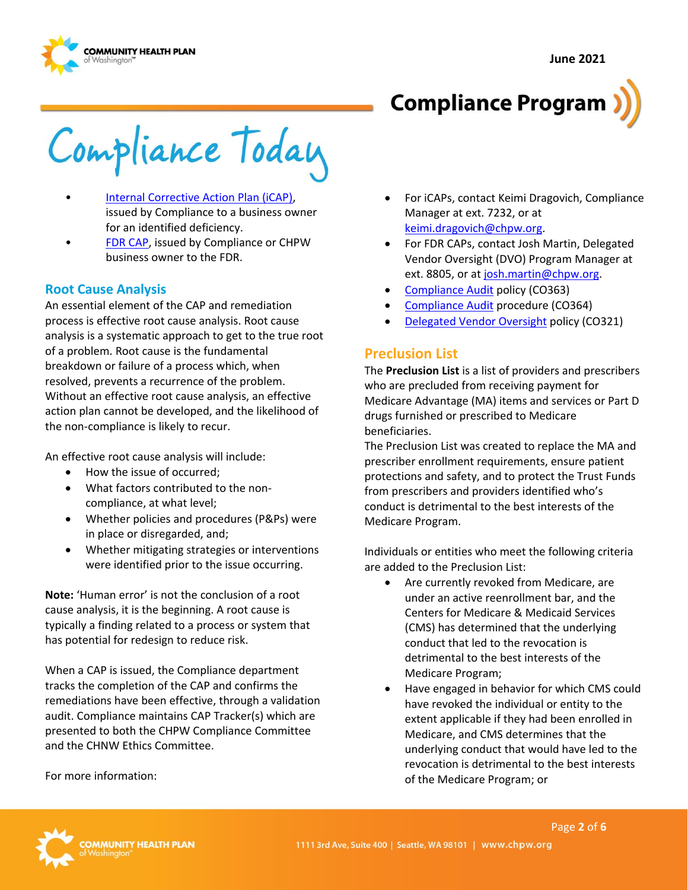



Compliance Today

- **Internal Corrective Action Plan (iCAP)**, issued by Compliance to a business owner for an identified deficiency.
- [FDR CAP,](https://inside.chpw.org/departments/compliance/documents/cap_templates/fdr_cap_template) issued by Compliance or CHPW business owner to the FDR.

#### **Root Cause Analysis**

An essential element of the CAP and remediation process is effective root cause analysis. Root cause analysis is a systematic approach to get to the true root of a problem. Root cause is the fundamental breakdown or failure of a process which, when resolved, prevents a recurrence of the problem. Without an effective root cause analysis, an effective action plan cannot be developed, and the likelihood of the non-compliance is likely to recur.

An effective root cause analysis will include:

- How the issue of occurred:
- What factors contributed to the noncompliance, at what level;
- Whether policies and procedures (P&Ps) were in place or disregarded, and;
- Whether mitigating strategies or interventions were identified prior to the issue occurring.

**Note:** 'Human error' is not the conclusion of a root cause analysis, it is the beginning. A root cause is typically a finding related to a process or system that has potential for redesign to reduce risk.

When a CAP is issued, the Compliance department tracks the completion of the CAP and confirms the remediations have been effective, through a validation audit. Compliance maintains CAP Tracker(s) which are presented to both the CHPW Compliance Committee and the CHNW Ethics Committee.

For more information:

- For iCAPs, contact Keimi Dragovich, Compliance Manager at ext. 7232, or at [keimi.dragovich@chpw.org.](mailto:keimi.dragovich@chpw.org)
- For FDR CAPs, contact Josh Martin, Delegated Vendor Oversight (DVO) Program Manager at ext. 8805, or a[t josh.martin@chpw.org.](mailto:josh.martin@chpw.org)
- [Compliance Audit p](http://chpsp/PP/Compliance/Compliance%20Audit%20Policy%20-%20CO363.pdf)olicy (CO363)
- [Compliance Audit p](http://chpsp/PP/Compliance/Compliance%20Audit%20Procedure%20-%20CO364.pdf)rocedure (CO364)
- [Delegated Vendor Oversight](http://chpsp/PP/Compliance/Delegated%20Vendor%20Oversight%20Policy%20-%20CO321.pdf) policy (CO321)

#### **Preclusion List**

The **Preclusion List** is a list of providers and prescribers who are precluded from receiving payment for Medicare Advantage (MA) items and services or Part D drugs furnished or prescribed to Medicare beneficiaries.

The Preclusion List was created to replace the MA and prescriber enrollment requirements, ensure patient protections and safety, and to protect the Trust Funds from prescribers and providers identified who's conduct is detrimental to the best interests of the Medicare Program.

Individuals or entities who meet the following criteria are added to the Preclusion List:

- Are currently revoked from Medicare, are under an active reenrollment bar, and the Centers for Medicare & Medicaid Services (CMS) has determined that the underlying conduct that led to the revocation is detrimental to the best interests of the Medicare Program;
- Have engaged in behavior for which CMS could have revoked the individual or entity to the extent applicable if they had been enrolled in Medicare, and CMS determines that the underlying conduct that would have led to the revocation is detrimental to the best interests of the Medicare Program; or

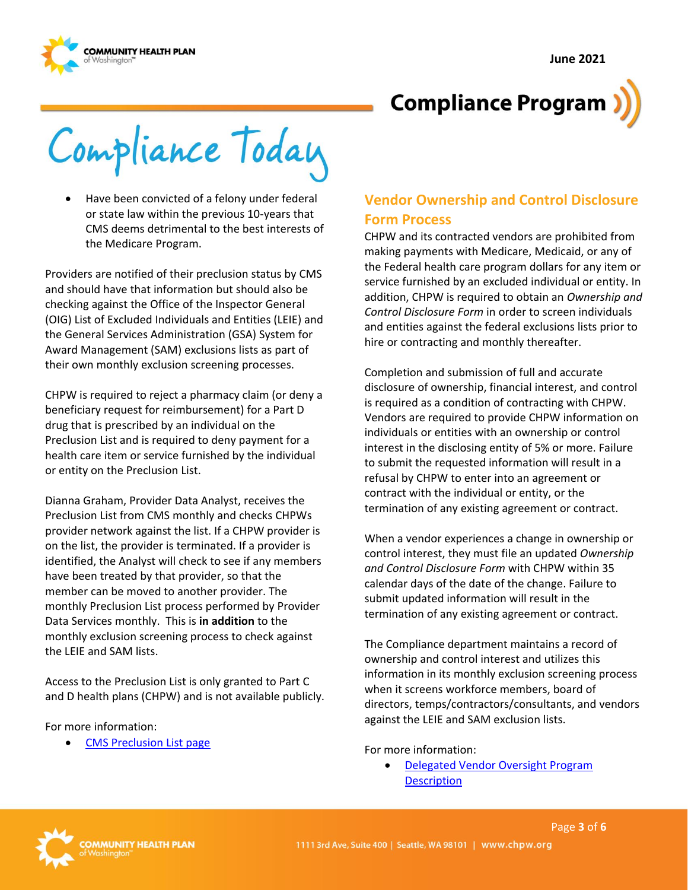



Compliance Today

• Have been convicted of a felony under federal or state law within the previous 10-years that CMS deems detrimental to the best interests of the Medicare Program.

Providers are notified of their preclusion status by CMS and should have that information but should also be checking against the Office of the Inspector General (OIG) List of Excluded Individuals and Entities (LEIE) and the General Services Administration (GSA) System for Award Management (SAM) exclusions lists as part of their own monthly exclusion screening processes.

CHPW is required to reject a pharmacy claim (or deny a beneficiary request for reimbursement) for a Part D drug that is prescribed by an individual on the Preclusion List and is required to deny payment for a health care item or service furnished by the individual or entity on the Preclusion List.

Dianna Graham, Provider Data Analyst, receives the Preclusion List from CMS monthly and checks CHPWs provider network against the list. If a CHPW provider is on the list, the provider is terminated. If a provider is identified, the Analyst will check to see if any members have been treated by that provider, so that the member can be moved to another provider. The monthly Preclusion List process performed by Provider Data Services monthly. This is **in addition** to the monthly exclusion screening process to check against the LEIE and SAM lists.

Access to the Preclusion List is only granted to Part C and D health plans (CHPW) and is not available publicly.

For more information:

• [CMS Preclusion List page](https://www.cms.gov/Medicare/Provider-Enrollment-and-Certification/Preclusion-List)

# **Vendor Ownership and Control Disclosure Form Process**

CHPW and its contracted vendors are prohibited from making payments with Medicare, Medicaid, or any of the Federal health care program dollars for any item or service furnished by an excluded individual or entity. In addition, CHPW is required to obtain an *Ownership and Control Disclosure Form* in order to screen individuals and entities against the federal exclusions lists prior to hire or contracting and monthly thereafter.

Completion and submission of full and accurate disclosure of ownership, financial interest, and control is required as a condition of contracting with CHPW. Vendors are required to provide CHPW information on individuals or entities with an ownership or control interest in the disclosing entity of 5% or more. Failure to submit the requested information will result in a refusal by CHPW to enter into an agreement or contract with the individual or entity, or the termination of any existing agreement or contract.

When a vendor experiences a change in ownership or control interest, they must file an updated *Ownership and Control Disclosure Form* with CHPW within 35 calendar days of the date of the change. Failure to submit updated information will result in the termination of any existing agreement or contract.

The Compliance department maintains a record of ownership and control interest and utilizes this information in its monthly exclusion screening process when it screens workforce members, board of directors, temps/contractors/consultants, and vendors against the LEIE and SAM exclusion lists.

For more information:

• [Delegated Vendor Oversight Program](http://chpsp/PP/Compliance/Delegated%20Vendor%20Oversight%20Program%20Description%20-%20CO-PROG5.pdf)  **Description** 

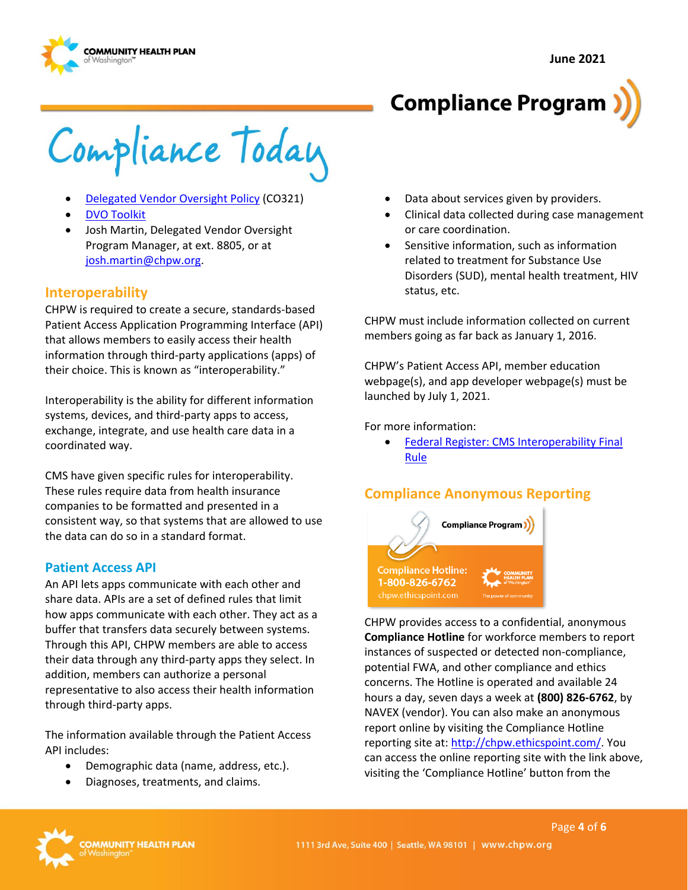



# **Compliance Program**

Compliance Today

- [Delegated Vendor Oversight Policy \(](http://chpsp/PP/Compliance/Delegated%20Vendor%20Oversight%20Policy%20-%20CO321.pdf)CO321)
- [DVO Toolkit](https://inside.chpw.org/departments/compliance/dvo_toolkit?view=Details)
- Josh Martin, Delegated Vendor Oversight Program Manager, at ext. 8805, or at [josh.martin@chpw.org.](mailto:josh.martin@chpw.org)

### **Interoperability**

CHPW is required to create a secure, standards-based Patient Access Application Programming Interface (API) that allows members to easily access their health information through third-party applications (apps) of their choice. This is known as "interoperability."

Interoperability is the ability for different information systems, devices, and third-party apps to access, exchange, integrate, and use health care data in a coordinated way.

CMS have given specific rules for interoperability. These rules require data from health insurance companies to be formatted and presented in a consistent way, so that systems that are allowed to use the data can do so in a standard format.

#### **Patient Access API**

An API lets apps communicate with each other and share data. APIs are a set of defined rules that limit how apps communicate with each other. They act as a buffer that transfers data securely between systems. Through this API, CHPW members are able to access their data through any third-party apps they select. In addition, members can authorize a personal representative to also access their health information through third-party apps.

The information available through the Patient Access API includes:

- Demographic data (name, address, etc.).
- Diagnoses, treatments, and claims.
- Data about services given by providers.
- Clinical data collected during case management or care coordination.
- Sensitive information, such as information related to treatment for Substance Use Disorders (SUD), mental health treatment, HIV status, etc.

CHPW must include information collected on current members going as far back as January 1, 2016.

CHPW's Patient Access API, member education webpage(s), and app developer webpage(s) must be launched by July 1, 2021.

For more information:

• [Federal Register: CMS Interoperability Final](https://www.federalregister.gov/documents/2020/05/01/2020-05050/medicare-and-medicaid-programs-patient-protection-and-affordable-care-act-interoperability-and)  [Rule](https://www.federalregister.gov/documents/2020/05/01/2020-05050/medicare-and-medicaid-programs-patient-protection-and-affordable-care-act-interoperability-and)

### **Compliance Anonymous Reporting**



CHPW provides access to a confidential, anonymous **Compliance Hotline** for workforce members to report instances of suspected or detected non-compliance, potential FWA, and other compliance and ethics concerns. The Hotline is operated and available 24 hours a day, seven days a week at **(800) 826-6762**, by NAVEX (vendor). You can also make an anonymous report online by visiting the Compliance Hotline reporting site at[: http://chpw.ethicspoint.com/.](http://chpw.ethicspoint.com/) You can access the online reporting site with the link above, visiting the 'Compliance Hotline' button from the

Page **4** of **6**

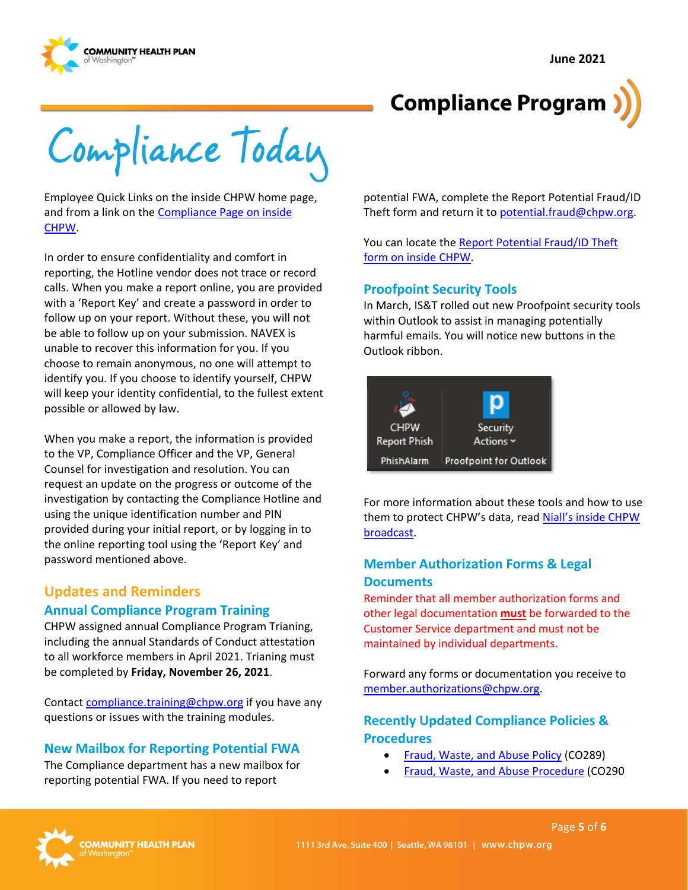**June 2021** 



# **Compliance Program**

Compliance Today

Employee Quick Links on the inside CHPW home page, and from a link on the [Compliance Page on inside](https://inside.chpw.org/departments/compliance)  [CHPW.](https://inside.chpw.org/departments/compliance)

In order to ensure confidentiality and comfort in reporting, the Hotline vendor does not trace or record calls. When you make a report online, you are provided with a 'Report Key' and create a password in order to follow up on your report. Without these, you will not be able to follow up on your submission. NAVEX is unable to recover this information for you. If you choose to remain anonymous, no one will attempt to identify you. If you choose to identify yourself, CHPW will keep your identity confidential, to the fullest extent possible or allowed by law.

When you make a report, the information is provided to the VP, Compliance Officer and the VP, General Counsel for investigation and resolution. You can request an update on the progress or outcome of the investigation by contacting the Compliance Hotline and using the unique identification number and PIN provided during your initial report, or by logging in to the online reporting tool using the 'Report Key' and password mentioned above.

### **Updates and Reminders Annual Compliance Program Training**

CHPW assigned annual Compliance Program Trianing, including the annual Standards of Conduct attestation to all workforce members in April 2021. Trianing must be completed by **Friday, November 26, 2021**.

Contac[t compliance.training@chpw.org](mailto:compliance.training@chpw.org) if you have any questions or issues with the training modules.

### **New Mailbox for Reporting Potential FWA**

The Compliance department has a new mailbox for reporting potential FWA. If you need to report

potential FWA, complete the Report Potential Fraud/ID Theft form and return it to [potential.fraud@chpw.org.](mailto:potential.fraud@chpw.org)

You can locate th[e Report Potential Fraud/ID Theft](https://inside.chpw.org/departments/compliance/documents/privacysecurity__fwa_report_forms/2020_12_15_privacy_security_incident_report_form_ma_wahimcpdf)  [form on inside CHPW.](https://inside.chpw.org/departments/compliance/documents/privacysecurity__fwa_report_forms/2020_12_15_privacy_security_incident_report_form_ma_wahimcpdf)

#### **Proofpoint Security Tools**

In March, IS&T rolled out new Proofpoint security tools within Outlook to assist in managing potentially harmful emails. You will notice new buttons in the Outlook ribbon.

| <b>CHPW</b>  | Security               |
|--------------|------------------------|
| Report Phish | Actions ~              |
| PhishAlarm   | Proofpoint for Outlook |

For more information about these tools and how to use them to protect CHPW's data, read Niall's inside CHPW [broadcast.](https://inside.chpw.org/departments/is_t/ist_updates/new_proofpoint_security_tools_now_in_outlook)

## **Member Authorization Forms & Legal Documents**

Reminder that all member authorization forms and other legal documentation **must** be forwarded to the Customer Service department and must not be maintained by individual departments.

Forward any forms or documentation you receive to [member.authorizations@chpw.org.](mailto:member.authorizations@chpw.org)

### **Recently Updated Compliance Policies & Procedures**

- [Fraud, Waste, and Abuse Policy](http://chpsp/PP/Compliance/Fraud,%20Waste,%20and%20Abuse%20Policy%20-%20CO289.pdf) (CO289)
- [Fraud, Waste, and Abuse Procedure](http://chpsp/PP/Compliance/Fraud,%20Waste,%20and%20Abuse%20Procedure%20-%20CO290.pdf) (CO290